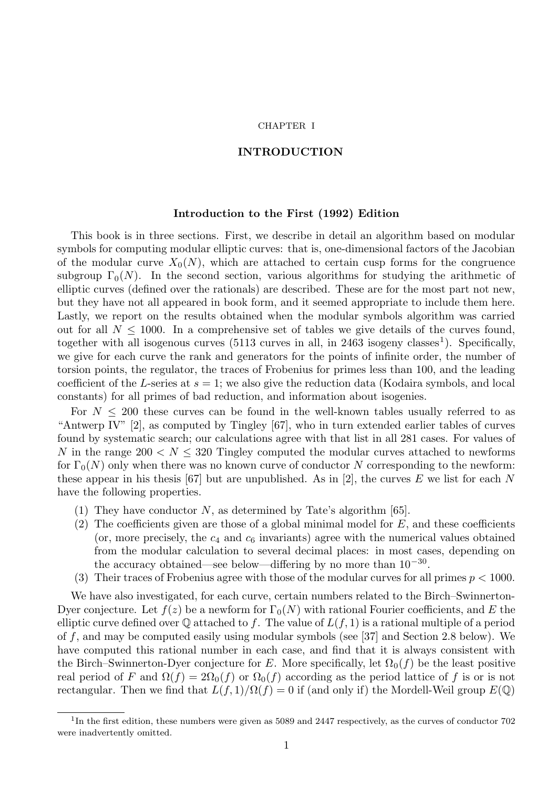#### CHAPTER I

# INTRODUCTION

# Introduction to the First (1992) Edition

This book is in three sections. First, we describe in detail an algorithm based on modular symbols for computing modular elliptic curves: that is, one-dimensional factors of the Jacobian of the modular curve  $X_0(N)$ , which are attached to certain cusp forms for the congruence subgroup  $\Gamma_0(N)$ . In the second section, various algorithms for studying the arithmetic of elliptic curves (defined over the rationals) are described. These are for the most part not new, but they have not all appeared in book form, and it seemed appropriate to include them here. Lastly, we report on the results obtained when the modular symbols algorithm was carried out for all  $N \leq 1000$ . In a comprehensive set of tables we give details of the curves found, together with all isogenous curves  $(5113 \text{ curves in all}, \text{ in } 2463 \text{ isogeny classes}^1)$ . Specifically, we give for each curve the rank and generators for the points of infinite order, the number of torsion points, the regulator, the traces of Frobenius for primes less than 100, and the leading coefficient of the L-series at  $s = 1$ ; we also give the reduction data (Kodaira symbols, and local constants) for all primes of bad reduction, and information about isogenies.

For  $N < 200$  these curves can be found in the well-known tables usually referred to as "Antwerp IV" [2], as computed by Tingley [67], who in turn extended earlier tables of curves found by systematic search; our calculations agree with that list in all 281 cases. For values of N in the range  $200 < N \leq 320$  Tingley computed the modular curves attached to newforms for  $\Gamma_0(N)$  only when there was no known curve of conductor N corresponding to the newform: these appear in his thesis [67] but are unpublished. As in [2], the curves E we list for each N have the following properties.

- (1) They have conductor N, as determined by Tate's algorithm [65].
- (2) The coefficients given are those of a global minimal model for  $E$ , and these coefficients (or, more precisely, the  $c_4$  and  $c_6$  invariants) agree with the numerical values obtained from the modular calculation to several decimal places: in most cases, depending on the accuracy obtained—see below—differing by no more than  $10^{-30}$ .
- (3) Their traces of Frobenius agree with those of the modular curves for all primes  $p < 1000$ .

We have also investigated, for each curve, certain numbers related to the Birch–Swinnerton-Dyer conjecture. Let  $f(z)$  be a newform for  $\Gamma_0(N)$  with rational Fourier coefficients, and E the elliptic curve defined over  $\mathbb Q$  attached to f. The value of  $L(f, 1)$  is a rational multiple of a period of f, and may be computed easily using modular symbols (see [37] and Section 2.8 below). We have computed this rational number in each case, and find that it is always consistent with the Birch–Swinnerton-Dyer conjecture for E. More specifically, let  $\Omega_0(f)$  be the least positive real period of F and  $\Omega(f) = 2\Omega_0(f)$  or  $\Omega_0(f)$  according as the period lattice of f is or is not rectangular. Then we find that  $L(f, 1)/\Omega(f) = 0$  if (and only if) the Mordell-Weil group  $E(\mathbb{Q})$ 

<sup>&</sup>lt;sup>1</sup>In the first edition, these numbers were given as 5089 and 2447 respectively, as the curves of conductor 702 were inadvertently omitted.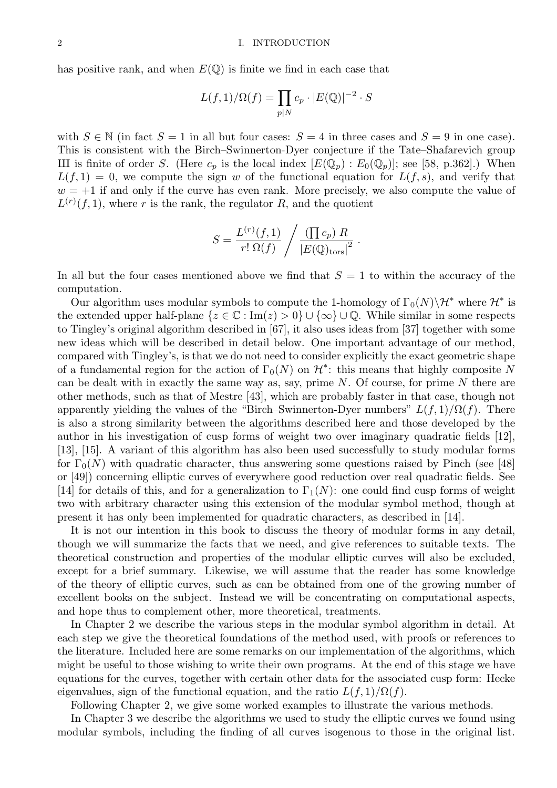has positive rank, and when  $E(\mathbb{Q})$  is finite we find in each case that

$$
L(f,1)/\Omega(f) = \prod_{p|N} c_p \cdot |E(\mathbb{Q})|^{-2} \cdot S
$$

with  $S \in \mathbb{N}$  (in fact  $S = 1$  in all but four cases:  $S = 4$  in three cases and  $S = 9$  in one case). This is consistent with the Birch–Swinnerton-Dyer conjecture if the Tate–Shafarevich group III is finite of order S. (Here  $c_p$  is the local index  $[E(\mathbb{Q}_p) : E_0(\mathbb{Q}_p)]$ ; see [58, p.362].) When  $L(f, 1) = 0$ , we compute the sign w of the functional equation for  $L(f, s)$ , and verify that  $w = +1$  if and only if the curve has even rank. More precisely, we also compute the value of  $L^{(r)}(f,1)$ , where r is the rank, the regulator R, and the quotient

$$
S = \frac{L^{(r)}(f,1)}{r! \Omega(f)} / \frac{(\prod c_p) R}{|E(\mathbb{Q})_{\text{tors}}|^2} .
$$

In all but the four cases mentioned above we find that  $S = 1$  to within the accuracy of the computation.

Our algorithm uses modular symbols to compute the 1-homology of  $\Gamma_0(N)\backslash \mathcal{H}^*$  where  $\mathcal{H}^*$  is the extended upper half-plane  $\{z \in \mathbb{C} : \text{Im}(z) > 0\} \cup \{\infty\} \cup \mathbb{Q}$ . While similar in some respects to Tingley's original algorithm described in [67], it also uses ideas from [37] together with some new ideas which will be described in detail below. One important advantage of our method, compared with Tingley's, is that we do not need to consider explicitly the exact geometric shape of a fundamental region for the action of  $\Gamma_0(N)$  on  $\mathcal{H}^*$ : this means that highly composite N can be dealt with in exactly the same way as, say, prime  $N$ . Of course, for prime  $N$  there are other methods, such as that of Mestre [43], which are probably faster in that case, though not apparently yielding the values of the "Birch–Swinnerton-Dyer numbers"  $L(f, 1)/\Omega(f)$ . There is also a strong similarity between the algorithms described here and those developed by the author in his investigation of cusp forms of weight two over imaginary quadratic fields [12], [13], [15]. A variant of this algorithm has also been used successfully to study modular forms for  $\Gamma_0(N)$  with quadratic character, thus answering some questions raised by Pinch (see [48] or [49]) concerning elliptic curves of everywhere good reduction over real quadratic fields. See [14] for details of this, and for a generalization to  $\Gamma_1(N)$ : one could find cusp forms of weight two with arbitrary character using this extension of the modular symbol method, though at present it has only been implemented for quadratic characters, as described in [14].

It is not our intention in this book to discuss the theory of modular forms in any detail, though we will summarize the facts that we need, and give references to suitable texts. The theoretical construction and properties of the modular elliptic curves will also be excluded, except for a brief summary. Likewise, we will assume that the reader has some knowledge of the theory of elliptic curves, such as can be obtained from one of the growing number of excellent books on the subject. Instead we will be concentrating on computational aspects, and hope thus to complement other, more theoretical, treatments.

In Chapter 2 we describe the various steps in the modular symbol algorithm in detail. At each step we give the theoretical foundations of the method used, with proofs or references to the literature. Included here are some remarks on our implementation of the algorithms, which might be useful to those wishing to write their own programs. At the end of this stage we have equations for the curves, together with certain other data for the associated cusp form: Hecke eigenvalues, sign of the functional equation, and the ratio  $L(f, 1)/\Omega(f)$ .

Following Chapter 2, we give some worked examples to illustrate the various methods.

In Chapter 3 we describe the algorithms we used to study the elliptic curves we found using modular symbols, including the finding of all curves isogenous to those in the original list.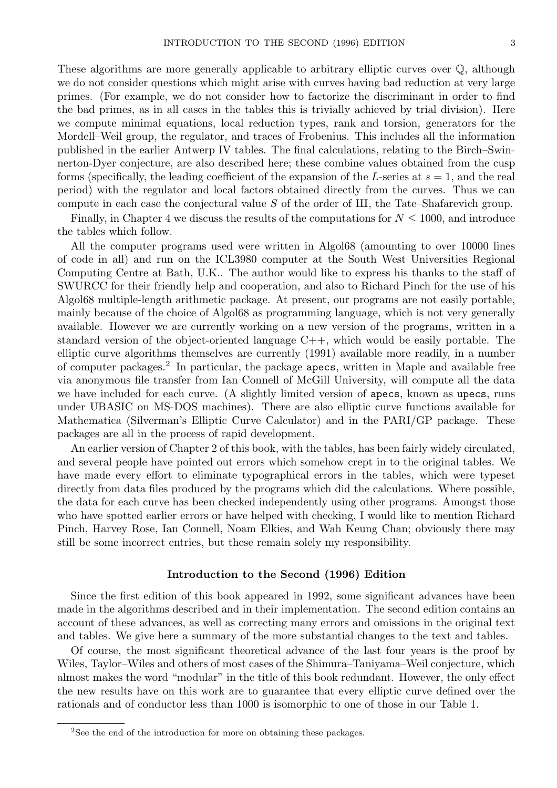These algorithms are more generally applicable to arbitrary elliptic curves over Q, although we do not consider questions which might arise with curves having bad reduction at very large primes. (For example, we do not consider how to factorize the discriminant in order to find the bad primes, as in all cases in the tables this is trivially achieved by trial division). Here we compute minimal equations, local reduction types, rank and torsion, generators for the Mordell–Weil group, the regulator, and traces of Frobenius. This includes all the information published in the earlier Antwerp IV tables. The final calculations, relating to the Birch–Swinnerton-Dyer conjecture, are also described here; these combine values obtained from the cusp forms (specifically, the leading coefficient of the expansion of the L-series at  $s = 1$ , and the real period) with the regulator and local factors obtained directly from the curves. Thus we can compute in each case the conjectural value  $S$  of the order of III, the Tate–Shafarevich group.

Finally, in Chapter 4 we discuss the results of the computations for  $N \leq 1000$ , and introduce the tables which follow.

All the computer programs used were written in Algol68 (amounting to over 10000 lines of code in all) and run on the ICL3980 computer at the South West Universities Regional Computing Centre at Bath, U.K.. The author would like to express his thanks to the staff of SWURCC for their friendly help and cooperation, and also to Richard Pinch for the use of his Algol68 multiple-length arithmetic package. At present, our programs are not easily portable, mainly because of the choice of Algol68 as programming language, which is not very generally available. However we are currently working on a new version of the programs, written in a standard version of the object-oriented language C++, which would be easily portable. The elliptic curve algorithms themselves are currently (1991) available more readily, in a number of computer packages.<sup>2</sup> In particular, the package apecs, written in Maple and available free via anonymous file transfer from Ian Connell of McGill University, will compute all the data we have included for each curve. (A slightly limited version of apecs, known as upecs, runs under UBASIC on MS-DOS machines). There are also elliptic curve functions available for Mathematica (Silverman's Elliptic Curve Calculator) and in the PARI/GP package. These packages are all in the process of rapid development.

An earlier version of Chapter 2 of this book, with the tables, has been fairly widely circulated, and several people have pointed out errors which somehow crept in to the original tables. We have made every effort to eliminate typographical errors in the tables, which were typeset directly from data files produced by the programs which did the calculations. Where possible, the data for each curve has been checked independently using other programs. Amongst those who have spotted earlier errors or have helped with checking, I would like to mention Richard Pinch, Harvey Rose, Ian Connell, Noam Elkies, and Wah Keung Chan; obviously there may still be some incorrect entries, but these remain solely my responsibility.

# Introduction to the Second (1996) Edition

Since the first edition of this book appeared in 1992, some significant advances have been made in the algorithms described and in their implementation. The second edition contains an account of these advances, as well as correcting many errors and omissions in the original text and tables. We give here a summary of the more substantial changes to the text and tables.

Of course, the most significant theoretical advance of the last four years is the proof by Wiles, Taylor–Wiles and others of most cases of the Shimura–Taniyama–Weil conjecture, which almost makes the word "modular" in the title of this book redundant. However, the only effect the new results have on this work are to guarantee that every elliptic curve defined over the rationals and of conductor less than 1000 is isomorphic to one of those in our Table 1.

<sup>&</sup>lt;sup>2</sup>See the end of the introduction for more on obtaining these packages.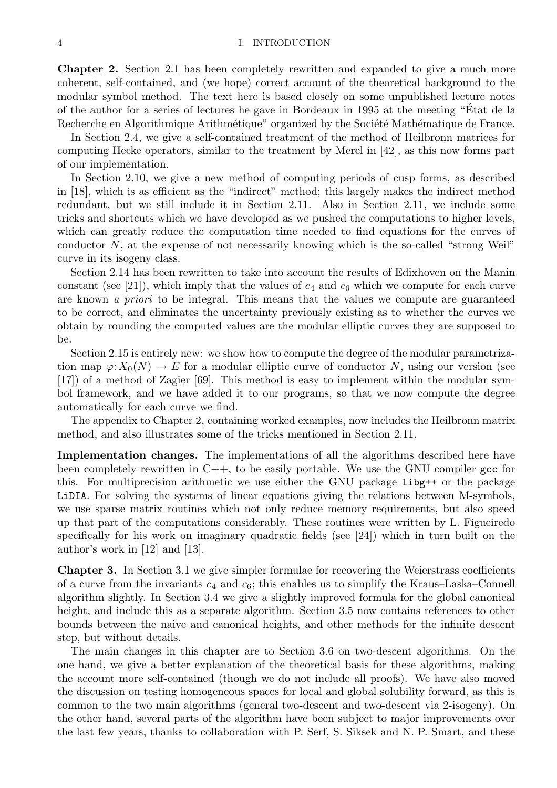Chapter 2. Section 2.1 has been completely rewritten and expanded to give a much more coherent, self-contained, and (we hope) correct account of the theoretical background to the modular symbol method. The text here is based closely on some unpublished lecture notes of the author for a series of lectures he gave in Bordeaux in 1995 at the meeting "État de la Recherche en Algorithmique Arithmétique" organized by the Société Mathématique de France.

In Section 2.4, we give a self-contained treatment of the method of Heilbronn matrices for computing Hecke operators, similar to the treatment by Merel in [42], as this now forms part of our implementation.

In Section 2.10, we give a new method of computing periods of cusp forms, as described in [18], which is as efficient as the "indirect" method; this largely makes the indirect method redundant, but we still include it in Section 2.11. Also in Section 2.11, we include some tricks and shortcuts which we have developed as we pushed the computations to higher levels, which can greatly reduce the computation time needed to find equations for the curves of conductor N, at the expense of not necessarily knowing which is the so-called "strong Weil" curve in its isogeny class.

Section 2.14 has been rewritten to take into account the results of Edixhoven on the Manin constant (see [21]), which imply that the values of  $c_4$  and  $c_6$  which we compute for each curve are known a priori to be integral. This means that the values we compute are guaranteed to be correct, and eliminates the uncertainty previously existing as to whether the curves we obtain by rounding the computed values are the modular elliptic curves they are supposed to be.

Section 2.15 is entirely new: we show how to compute the degree of the modular parametrization map  $\varphi: X_0(N) \to E$  for a modular elliptic curve of conductor N, using our version (see [17]) of a method of Zagier [69]. This method is easy to implement within the modular symbol framework, and we have added it to our programs, so that we now compute the degree automatically for each curve we find.

The appendix to Chapter 2, containing worked examples, now includes the Heilbronn matrix method, and also illustrates some of the tricks mentioned in Section 2.11.

Implementation changes. The implementations of all the algorithms described here have been completely rewritten in  $C_{++}$ , to be easily portable. We use the GNU compiler gcc for this. For multiprecision arithmetic we use either the GNU package libg++ or the package LiDIA. For solving the systems of linear equations giving the relations between M-symbols, we use sparse matrix routines which not only reduce memory requirements, but also speed up that part of the computations considerably. These routines were written by L. Figueiredo specifically for his work on imaginary quadratic fields (see [24]) which in turn built on the author's work in [12] and [13].

Chapter 3. In Section 3.1 we give simpler formulae for recovering the Weierstrass coefficients of a curve from the invariants  $c_4$  and  $c_6$ ; this enables us to simplify the Kraus–Laska–Connell algorithm slightly. In Section 3.4 we give a slightly improved formula for the global canonical height, and include this as a separate algorithm. Section 3.5 now contains references to other bounds between the naive and canonical heights, and other methods for the infinite descent step, but without details.

The main changes in this chapter are to Section 3.6 on two-descent algorithms. On the one hand, we give a better explanation of the theoretical basis for these algorithms, making the account more self-contained (though we do not include all proofs). We have also moved the discussion on testing homogeneous spaces for local and global solubility forward, as this is common to the two main algorithms (general two-descent and two-descent via 2-isogeny). On the other hand, several parts of the algorithm have been subject to major improvements over the last few years, thanks to collaboration with P. Serf, S. Siksek and N. P. Smart, and these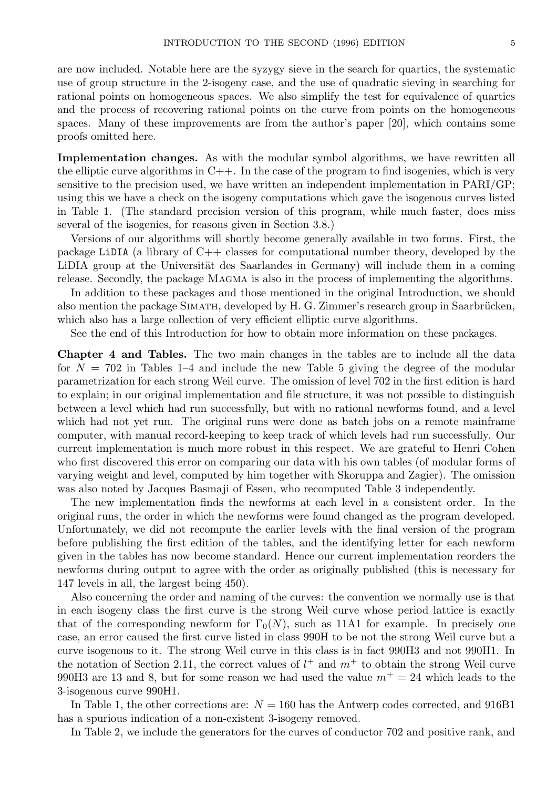are now included. Notable here are the syzygy sieve in the search for quartics, the systematic use of group structure in the 2-isogeny case, and the use of quadratic sieving in searching for rational points on homogeneous spaces. We also simplify the test for equivalence of quartics and the process of recovering rational points on the curve from points on the homogeneous spaces. Many of these improvements are from the author's paper [20], which contains some proofs omitted here.

Implementation changes. As with the modular symbol algorithms, we have rewritten all the elliptic curve algorithms in  $C_{++}$ . In the case of the program to find isogenies, which is very sensitive to the precision used, we have written an independent implementation in PARI/GP; using this we have a check on the isogeny computations which gave the isogenous curves listed in Table 1. (The standard precision version of this program, while much faster, does miss several of the isogenies, for reasons given in Section 3.8.)

Versions of our algorithms will shortly become generally available in two forms. First, the package LiDIA (a library of  $C++$  classes for computational number theory, developed by the LIDIA group at the Universität des Saarlandes in Germany) will include them in a coming release. Secondly, the package MAGMA is also in the process of implementing the algorithms.

In addition to these packages and those mentioned in the original Introduction, we should also mention the package SIMATH, developed by H. G. Zimmer's research group in Saarbrücken, which also has a large collection of very efficient elliptic curve algorithms.

See the end of this Introduction for how to obtain more information on these packages.

Chapter 4 and Tables. The two main changes in the tables are to include all the data for  $N = 702$  in Tables 1–4 and include the new Table 5 giving the degree of the modular parametrization for each strong Weil curve. The omission of level 702 in the first edition is hard to explain; in our original implementation and file structure, it was not possible to distinguish between a level which had run successfully, but with no rational newforms found, and a level which had not yet run. The original runs were done as batch jobs on a remote mainframe computer, with manual record-keeping to keep track of which levels had run successfully. Our current implementation is much more robust in this respect. We are grateful to Henri Cohen who first discovered this error on comparing our data with his own tables (of modular forms of varying weight and level, computed by him together with Skoruppa and Zagier). The omission was also noted by Jacques Basmaji of Essen, who recomputed Table 3 independently.

The new implementation finds the newforms at each level in a consistent order. In the original runs, the order in which the newforms were found changed as the program developed. Unfortunately, we did not recompute the earlier levels with the final version of the program before publishing the first edition of the tables, and the identifying letter for each newform given in the tables has now become standard. Hence our current implementation reorders the newforms during output to agree with the order as originally published (this is necessary for 147 levels in all, the largest being 450).

Also concerning the order and naming of the curves: the convention we normally use is that in each isogeny class the first curve is the strong Weil curve whose period lattice is exactly that of the corresponding newform for  $\Gamma_0(N)$ , such as 11A1 for example. In precisely one case, an error caused the first curve listed in class 990H to be not the strong Weil curve but a curve isogenous to it. The strong Weil curve in this class is in fact 990H3 and not 990H1. In the notation of Section 2.11, the correct values of  $l^+$  and  $m^+$  to obtain the strong Weil curve 990H3 are 13 and 8, but for some reason we had used the value  $m^+=24$  which leads to the 3-isogenous curve 990H1.

In Table 1, the other corrections are:  $N = 160$  has the Antwerp codes corrected, and 916B1 has a spurious indication of a non-existent 3-isogeny removed.

In Table 2, we include the generators for the curves of conductor 702 and positive rank, and